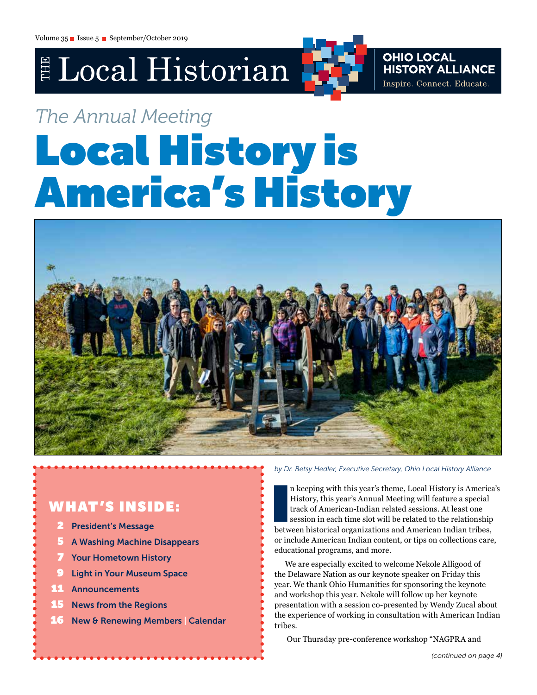## E Local Historian

**OHIO LOCAL<br>HISTORY ALLIANCE** Inspire. Connect. Educate.

# *The Annual Meeting*

# Local History is America's History



## W HAT 'S INSIDE:

- 2 President's Message
- 5 A Washing Machine Disappears
- **Your Hometown History**
- **Light in Your Museum Space**
- **Announcements**
- **15** News from the Regions
- 16 New & Renewing Members Calendar

*by Dr. Betsy Hedler, Executive Secretary, Ohio Local History Alliance* 

n keeping with this year's theme, Local History is America<br>History, this year's Annual Meeting will feature a special<br>track of American-Indian related sessions. At least one<br>session in each time slot will be related to the n keeping with this year's theme, Local History is America's History, this year's Annual Meeting will feature a special track of American-Indian related sessions. At least one session in each time slot will be related to the relationship or include American Indian content, or tips on collections care, educational programs, and more.

We are especially excited to welcome Nekole Alligood of the Delaware Nation as our keynote speaker on Friday this year. We thank Ohio Humanities for sponsoring the keynote and workshop this year. Nekole will follow up her keynote presentation with a session co-presented by Wendy Zucal about the experience of working in consultation with American Indian tribes.

Our Thursday pre-conference workshop "NAGPRA and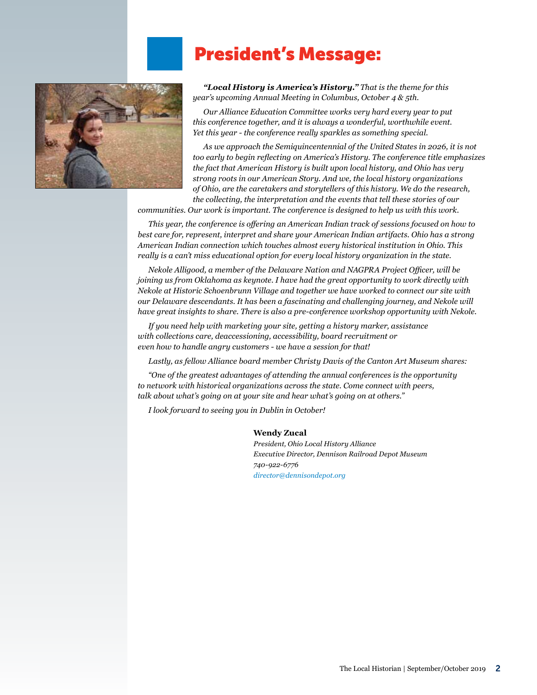## President's Message:



*"Local History is America's History." That is the theme for this year's upcoming Annual Meeting in Columbus, October 4 & 5th.* 

*Our Alliance Education Committee works very hard every year to put this conference together, and it is always a wonderful, worthwhile event. Yet this year - the conference really sparkles as something special.* 

*As we approach the Semiquincentennial of the United States in 2026, it is not too early to begin reflecting on America's History. The conference title emphasizes the fact that American History is built upon local history, and Ohio has very strong roots in our American Story. And we, the local history organizations of Ohio, are the caretakers and storytellers of this history. We do the research, the collecting, the interpretation and the events that tell these stories of our* 

*communities. Our work is important. The conference is designed to help us with this work.*

*This year, the conference is offering an American Indian track of sessions focused on how to best care for, represent, interpret and share your American Indian artifacts. Ohio has a strong American Indian connection which touches almost every historical institution in Ohio. This really is a can't miss educational option for every local history organization in the state.* 

*Nekole Alligood, a member of the Delaware Nation and NAGPRA Project Officer, will be joining us from Oklahoma as keynote. I have had the great opportunity to work directly with Nekole at Historic Schoenbrunn Village and together we have worked to connect our site with our Delaware descendants. It has been a fascinating and challenging journey, and Nekole will have great insights to share. There is also a pre-conference workshop opportunity with Nekole.*

*If you need help with marketing your site, getting a history marker, assistance with collections care, deaccessioning, accessibility, board recruitment or even how to handle angry customers - we have a session for that!*

*Lastly, as fellow Alliance board member Christy Davis of the Canton Art Museum shares:* 

*"One of the greatest advantages of attending the annual conferences is the opportunity to network with historical organizations across the state. Come connect with peers, talk about what's going on at your site and hear what's going on at others."*

*I look forward to seeing you in Dublin in October!*

#### **Wendy Zucal**

*President, Ohio Local History Alliance Executive Director, Dennison Railroad Depot Museum 740-922-6776 [director@dennisondepot.org](mailto:director@dennisondepot.org)*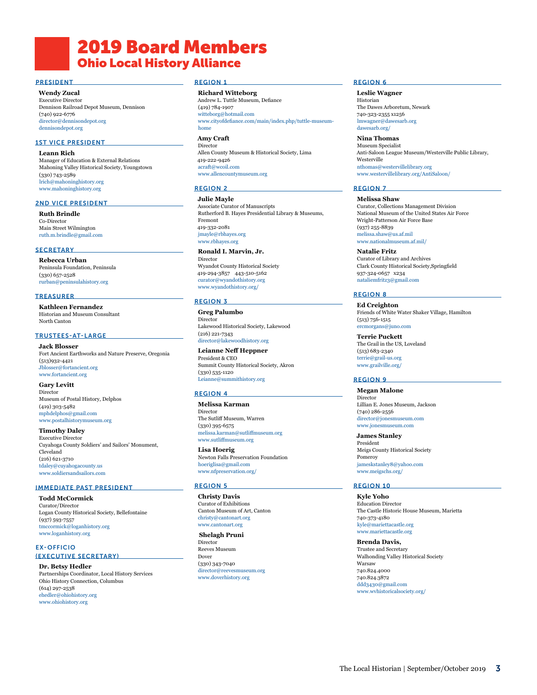## **2019 Board Members** Ohio Local History Alliance

#### PRESIDENT

**Wendy Zucal**

Executive Director Dennison Railroad Depot Museum, Dennison (740) 922-6776 [director@dennisondepot.org](mailto:director@dennisondepot.org) [dennisondepot.org](http://dennisondepot.org)

#### 1ST VICE PRESIDENT

**Leann Rich** Manager of Education & External Relations Mahoning Valley Historical Society, Youngstown (330) 743-2589 [lrich@mahoninghistory.org](mailto:lrich@mahoninghistory.org) [www.mahoninghistory.org](http://www.mahoninghistory.org)

#### 2ND VICE PRESIDENT

**Ruth Brindle** Co-Director Main Street Wilmington [ruth.m.brindle@gmail.com](mailto:ruth.m.brindle@gmail.com)

#### **SECRETARY**

**Rebecca Urban** Peninsula Foundation, Peninsula (330) 657-2528 [rurban@peninsulahistory.org](mailto:rurban@peninsulahistory.org)

#### **TREASURER**

**Kathleen Fernandez** Historian and Museum Consultant North Canton

#### TRUSTEES-AT-LARGE

**Jack Blosser** Fort Ancient Earthworks and Nature Preserve, Oregonia (513)932-4421 [Jblosser@fortancient.org](mailto:Jblosser@fortancient.org) [www.fortancient.org](http://www.fortancient.org)

**Gary Levitt** Director Museum of Postal History, Delphos (419) 303-5482 [mphdelphos@gmail.com](mailto:mphdelphos@gmail.com) [www.postalhistorymuseum.org](http://www.postalhistorymuseum.org)

**Timothy Daley**

Executive Director Cuyahoga County Soldiers' and Sailors' Monument, Cleveland (216) 621-3710 [tdaley@cuyahogacounty.us](mailto:tdaley@cuyahogacounty.us) [www.soldiersandsailors.com](http://www.soldiersandsailors.com)

#### IMMEDIATE PAST PRESIDENT

**Todd McCormick** Curator/Director Logan County Historical Society, Bellefontaine (937) 593-7557 [tmccormick@loganhistory.org](mailto:tmccormick@loganhistory.org) [www.loganhistory.org](http://www.loganhistory.org)

EX-OFFICIO (EXECUTIVE SECRETARY)

**Dr. Betsy Hedler** Partnerships Coordinator, Local History Services Ohio History Connection, Columbus (614) 297-2538 [ehedler@ohiohistory.org](mailto:ehedler@ohiohistory.org) [www.ohiohistory.org](http://www.ohiohistory.org)

#### REGION 1

**Richard Witteborg** Andrew L. Tuttle Museum, Defiance (419) 784-1907 [witteborg@hotmail.com](mailto:witteborg@hotmail.com) [www.cityofdefiance.com/main/index.php/tuttle-museum](http://www.cityofdefiance.com/main/index.php/tuttle-museum-home)[home](http://www.cityofdefiance.com/main/index.php/tuttle-museum-home)

#### **Amy Craft**

**Director** Allen County Museum & Historical Society, Lima 419-222-9426 [acraft@wcoil.com](mailto:acraft@wcoil.com) [www.allencountymuseum.org](http://www.allencountymuseum.org)

#### REGION 2

**Julie Mayle** Associate Curator of Manuscripts Rutherford B. Hayes Presidential Library & Museums, Fremont 419-332-2081 [jmayle@rbhayes.org](mailto:jmayle@rbhayes.org) [www.rbhayes.org](http://www.rbhayes.org)

#### **Ronald I. Marvin, Jr.**

Director Wyandot County Historical Society 419-294-3857 443-510-5162 [curator@wyandothistory.org](mailto:curator@wyandothistory.org) [www.wyandothistory.org/](https://www.wyandothistory.org/)

#### REGION 3

**Greg Palumbo** Director Lakewood Historical Society, Lakewood (216) 221-7343 [director@lakewoodhistory.org](mailto:director@lakewoodhistory.org)

**Leianne Neff Heppner**  President & CEO Summit County Historical Society, Akron (330) 535-1120 [Leianne@summithistory.org](mailto:Leianne%40summithistory.org%20?subject=)

#### REGION 4

**Melissa Karman** Director The Sutliff Museum, Warren (330) 395-6575 [melissa.karman@sutliffmuseum.org](mailto:melissa.karman@sutliffmuseum.org) [www.sutliffmuseum.org](http://www.sutliffmuseum.org/)

**Lisa Hoerig** Newton Falls Preservation Foundation [hoeriglisa@gmail.com](mailto:hoeriglisa@gmail.com) [www.nfpreservation.org/](https://www.nfpreservation.org/)

#### REGION 5

**Christy Davis** Curator of Exhibitions Canton Museum of Art, Canton [christy@cantonart.org](mailto:christy%40cantonart.org?subject=) <www.cantonart.org>

 **Shelagh Pruni** Director Reeves Museum Dover (330) 343-7040 [director@reevesmuseum.org](mailto:director%40reevesmuseum.org?subject=) [www.doverhistory.org](http://www.doverhistory.org) 

#### REGION 6

**Leslie Wagner** Historian The Dawes Arboretum, Newark 740-323-2355 x1256 [lmwagner@dawesarb.org](mailto:lmwagner@dawesarb.org) [dawesarb.org/](http://dawesarb.org/)

**Nina Thomas** Museum Specialist Anti-Saloon League Museum/Westerville Public Library, Westerville [nthomas@westervillelibrary.org](mailto:nthomas@westervillelibrary.org) [www.westervillelibrary.org/AntiSaloon/](http://www.westervillelibrary.org/AntiSaloon/)

#### REGION 7

**Melissa Shaw** Curator, Collections Management Division National Museum of the United States Air Force Wright-Patterson Air Force Base (937) 255-8839 [melissa.shaw@us.af.mil](mailto:melissa.shaw@us.af.mil) [www.nationalmuseum.af.mil/](http://www.nationalmuseum.af.mil/)

**Natalie Fritz** Curator of Library and Archives Clark County Historical Society,Springfield 937-324-0657 x234 [nataliemfritz3@gmail.com](mailto:nataliemfritz3@gmail.com)

#### REGION 8

**Ed Creighton** Friends of White Water Shaker Village, Hamilton (513) 756-1515 [ercmorgans@juno.com](mailto:ercmorgans@juno.com)

**Terrie Puckett** The Grail in the US, Loveland (513) 683-2340 terrie@grail-us[.org](mailto:terrie%40grail-us.org?subject=) [www.grailville.org/](http://www.grailville.org/)

#### REGION 9

**Megan Malone** Director Lillian E. Jones Museum, Jackson (740) 286-2556 [director@jonesmuseum.com](mailto:director@jonesmuseum.com) [www.jonesmuseum.com](http://www.jonesmuseum.com)

**James Stanley** President Meigs County Historical Society Pomeroy [jameskstanley8@yahoo.com](mailto:jameskstanley8@yahoo.com) [www.meigschs.org/](https://www.meigschs.org/)

#### REGION 10

**Kyle Yoho** Education Director The Castle Historic House Museum, Marietta 740-373-4180 [kyle@mariettacastle.org](mailto:kyle@mariettacastle.org) [www.mariettacastle.org](http://www.mariettacastle.org)

**Brenda Davis,**  Trustee and Secretary Walhonding Valley Historical Society Warsaw 740.824.4000 740.824.3872 [ddd3430@gmail.com](mailto:ddd3430@gmail.com) [www.wvhistoricalsociety.org/](http://www.wvhistoricalsociety.org/)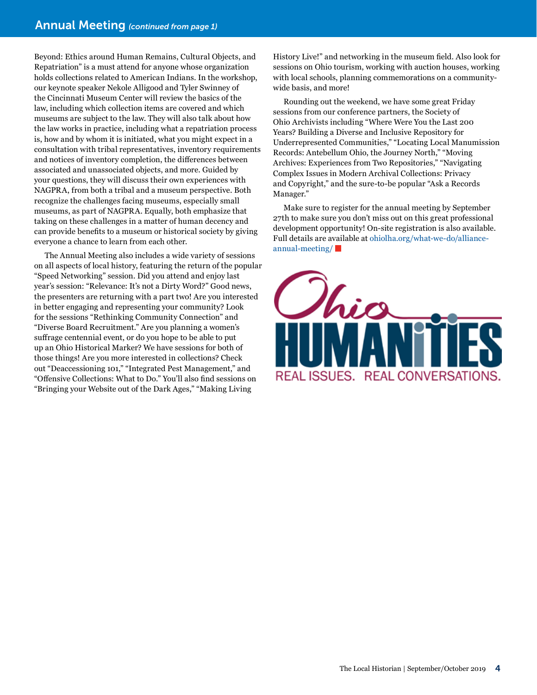Beyond: Ethics around Human Remains, Cultural Objects, and Repatriation" is a must attend for anyone whose organization holds collections related to American Indians. In the workshop, our keynote speaker Nekole Alligood and Tyler Swinney of the Cincinnati Museum Center will review the basics of the law, including which collection items are covered and which museums are subject to the law. They will also talk about how the law works in practice, including what a repatriation process is, how and by whom it is initiated, what you might expect in a consultation with tribal representatives, inventory requirements and notices of inventory completion, the differences between associated and unassociated objects, and more. Guided by your questions, they will discuss their own experiences with NAGPRA, from both a tribal and a museum perspective. Both recognize the challenges facing museums, especially small museums, as part of NAGPRA. Equally, both emphasize that taking on these challenges in a matter of human decency and can provide benefits to a museum or historical society by giving everyone a chance to learn from each other.

The Annual Meeting also includes a wide variety of sessions on all aspects of local history, featuring the return of the popular "Speed Networking" session. Did you attend and enjoy last year's session: "Relevance: It's not a Dirty Word?" Good news, the presenters are returning with a part two! Are you interested in better engaging and representing your community? Look for the sessions "Rethinking Community Connection" and "Diverse Board Recruitment." Are you planning a women's suffrage centennial event, or do you hope to be able to put up an Ohio Historical Marker? We have sessions for both of those things! Are you more interested in collections? Check out "Deaccessioning 101," "Integrated Pest Management," and "Offensive Collections: What to Do." You'll also find sessions on "Bringing your Website out of the Dark Ages," "Making Living

History Live!" and networking in the museum field. Also look for sessions on Ohio tourism, working with auction houses, working with local schools, planning commemorations on a communitywide basis, and more!

Rounding out the weekend, we have some great Friday sessions from our conference partners, the Society of Ohio Archivists including "Where Were You the Last 200 Years? Building a Diverse and Inclusive Repository for Underrepresented Communities," "Locating Local Manumission Records: Antebellum Ohio, the Journey North," "Moving Archives: Experiences from Two Repositories," "Navigating Complex Issues in Modern Archival Collections: Privacy and Copyright," and the sure-to-be popular "Ask a Records Manager."

Make sure to register for the annual meeting by September 27th to make sure you don't miss out on this great professional development opportunity! On-site registration is also available. Full details are available at [ohiolha.org/what-we-do/alliance](https://ohiolha.org/what-we-do/alliance-annual-meeting/)[annual-meeting/](https://ohiolha.org/what-we-do/alliance-annual-meeting/)

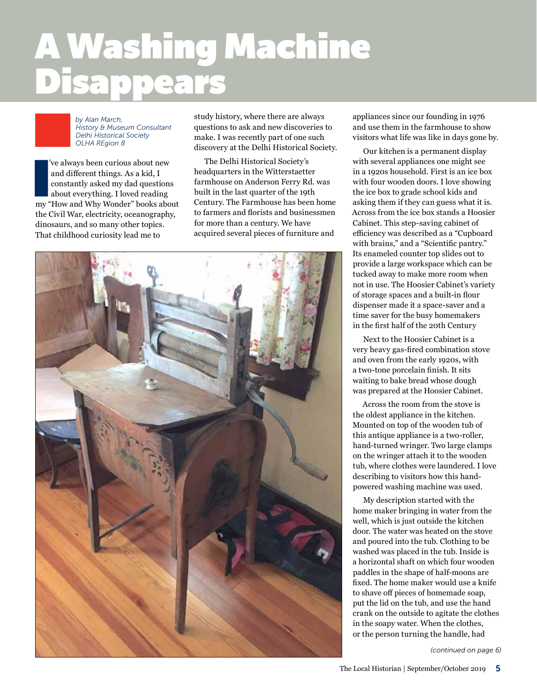## A Washing Machine Disappears *text block starts here under "continued from" banner*

*by Alan March, History & Museum Consultant Delhi Historical Society OLHA REgion 8*

ve always been curious about new<br>and different things. As a kid, I<br>constantly asked my dad questions<br>about everything. I loved reading<br>my "How and Why Wonder" books about 've always been curious about new and different things. As a kid, I constantly asked my dad questions about everything. I loved reading the Civil War, electricity, oceanography, dinosaurs, and so many other topics. That childhood curiosity lead me to

study history, where there are always questions to ask and new discoveries to make. I was recently part of one such discovery at the Delhi Historical Society.

The Delhi Historical Society's headquarters in the Witterstaetter farmhouse on Anderson Ferry Rd. was built in the last quarter of the 19th Century. The Farmhouse has been home to farmers and florists and businessmen for more than a century. We have acquired several pieces of furniture and



appliances since our founding in 1976 and use them in the farmhouse to show visitors what life was like in days gone by.

Our kitchen is a permanent display with several appliances one might see in a 1920s household. First is an ice box with four wooden doors. I love showing the ice box to grade school kids and asking them if they can guess what it is. Across from the ice box stands a Hoosier Cabinet. This step-saving cabinet of efficiency was described as a "Cupboard with brains," and a "Scientific pantry." Its enameled counter top slides out to provide a large workspace which can be tucked away to make more room when not in use. The Hoosier Cabinet's variety of storage spaces and a built-in flour dispenser made it a space-saver and a time saver for the busy homemakers in the first half of the 20th Century

Next to the Hoosier Cabinet is a very heavy gas-fired combination stove and oven from the early 1920s, with a two-tone porcelain finish. It sits waiting to bake bread whose dough was prepared at the Hoosier Cabinet.

Across the room from the stove is the oldest appliance in the kitchen. Mounted on top of the wooden tub of this antique appliance is a two-roller, hand-turned wringer. Two large clamps on the wringer attach it to the wooden tub, where clothes were laundered. I love describing to visitors how this handpowered washing machine was used.

My description started with the home maker bringing in water from the well, which is just outside the kitchen door. The water was heated on the stove and poured into the tub. Clothing to be washed was placed in the tub. Inside is a horizontal shaft on which four wooden paddles in the shape of half-moons are fixed. The home maker would use a knife to shave off pieces of homemade soap, put the lid on the tub, and use the hand crank on the outside to agitate the clothes in the soapy water. When the clothes, or the person turning the handle, had

*(continued on page 6)*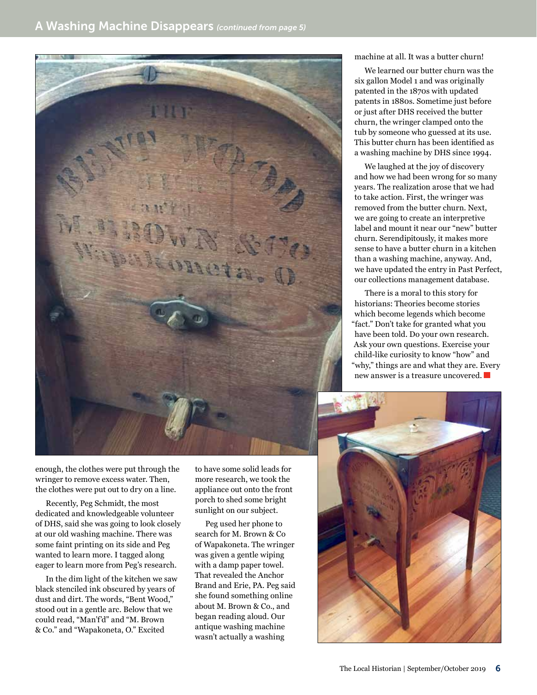

enough, the clothes were put through the wringer to remove excess water. Then, the clothes were put out to dry on a line.

Recently, Peg Schmidt, the most dedicated and knowledgeable volunteer of DHS, said she was going to look closely at our old washing machine. There was some faint printing on its side and Peg wanted to learn more. I tagged along eager to learn more from Peg's research.

In the dim light of the kitchen we saw black stenciled ink obscured by years of dust and dirt. The words, "Bent Wood," stood out in a gentle arc. Below that we could read, "Man'f'd" and "M. Brown & Co." and "Wapakoneta, O." Excited

to have some solid leads for more research, we took the appliance out onto the front porch to shed some bright sunlight on our subject.

Peg used her phone to search for M. Brown & Co of Wapakoneta. The wringer was given a gentle wiping with a damp paper towel. That revealed the Anchor Brand and Erie, PA. Peg said she found something online about M. Brown & Co., and began reading aloud. Our antique washing machine wasn't actually a washing

machine at all. It was a butter churn!

We learned our butter churn was the six gallon Model 1 and was originally patented in the 1870s with updated patents in 1880s. Sometime just before or just after DHS received the butter churn, the wringer clamped onto the tub by someone who guessed at its use. This butter churn has been identified as a washing machine by DHS since 1994.

We laughed at the joy of discovery and how we had been wrong for so many years. The realization arose that we had to take action. First, the wringer was removed from the butter churn. Next, we are going to create an interpretive label and mount it near our "new" butter churn. Serendipitously, it makes more sense to have a butter churn in a kitchen than a washing machine, anyway. And, we have updated the entry in Past Perfect, our collections management database.

There is a moral to this story for historians: Theories become stories which become legends which become "fact." Don't take for granted what you have been told. Do your own research. Ask your own questions. Exercise your child-like curiosity to know "how" and "why," things are and what they are. Every new answer is a treasure uncovered.

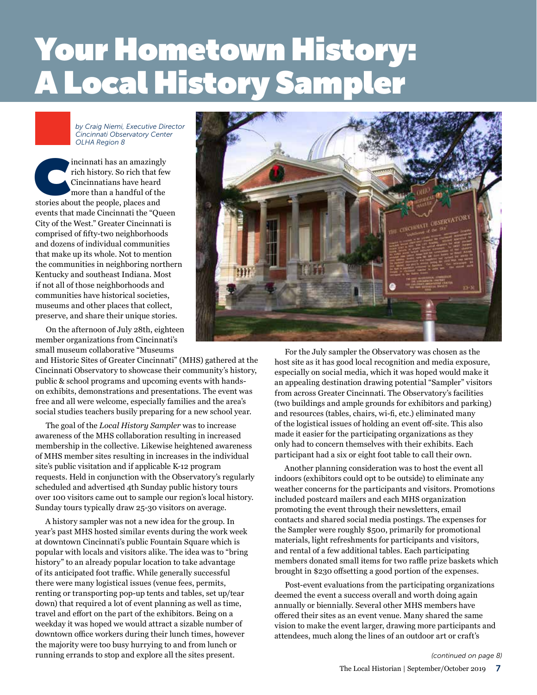## Your Hometown History: A Local History Sampler *text block starts here under "continued from" banner*

*by Craig Niemi, Executive Director Cincinnati Observatory Center OLHA Region 8*

incinnati has an amazingly<br>
rich history. So rich that fev<br>
Cincinnatians have heard<br>
more than a handful of the<br>
stories about the people, places and rich history. So rich that few Cincinnatians have heard more than a handful of the events that made Cincinnati the "Queen City of the West." Greater Cincinnati is comprised of fifty-two neighborhoods and dozens of individual communities that make up its whole. Not to mention the communities in neighboring northern Kentucky and southeast Indiana. Most if not all of those neighborhoods and communities have historical societies, museums and other places that collect, preserve, and share their unique stories.

On the afternoon of July 28th, eighteen member organizations from Cincinnati's small museum collaborative "Museums

and Historic Sites of Greater Cincinnati" (MHS) gathered at the Cincinnati Observatory to showcase their community's history, public & school programs and upcoming events with handson exhibits, demonstrations and presentations. The event was free and all were welcome, especially families and the area's social studies teachers busily preparing for a new school year.

The goal of the *Local History Sampler* was to increase awareness of the MHS collaboration resulting in increased membership in the collective. Likewise heightened awareness of MHS member sites resulting in increases in the individual site's public visitation and if applicable K-12 program requests. Held in conjunction with the Observatory's regularly scheduled and advertised 4th Sunday public history tours over 100 visitors came out to sample our region's local history. Sunday tours typically draw 25-30 visitors on average.

A history sampler was not a new idea for the group. In year's past MHS hosted similar events during the work week at downtown Cincinnati's public Fountain Square which is popular with locals and visitors alike. The idea was to "bring history" to an already popular location to take advantage of its anticipated foot traffic. While generally successful there were many logistical issues (venue fees, permits, renting or transporting pop-up tents and tables, set up/tear down) that required a lot of event planning as well as time, travel and effort on the part of the exhibitors. Being on a weekday it was hoped we would attract a sizable number of downtown office workers during their lunch times, however the majority were too busy hurrying to and from lunch or running errands to stop and explore all the sites present.



For the July sampler the Observatory was chosen as the host site as it has good local recognition and media exposure, especially on social media, which it was hoped would make it an appealing destination drawing potential "Sampler" visitors from across Greater Cincinnati. The Observatory's facilities (two buildings and ample grounds for exhibitors and parking) and resources (tables, chairs, wi-fi, etc.) eliminated many of the logistical issues of holding an event off-site. This also made it easier for the participating organizations as they only had to concern themselves with their exhibits. Each participant had a six or eight foot table to call their own.

Another planning consideration was to host the event all indoors (exhibitors could opt to be outside) to eliminate any weather concerns for the participants and visitors. Promotions included postcard mailers and each MHS organization promoting the event through their newsletters, email contacts and shared social media postings. The expenses for the Sampler were roughly \$500, primarily for promotional materials, light refreshments for participants and visitors, and rental of a few additional tables. Each participating members donated small items for two raffle prize baskets which brought in \$230 offsetting a good portion of the expenses.

Post-event evaluations from the participating organizations deemed the event a success overall and worth doing again annually or biennially. Several other MHS members have offered their sites as an event venue. Many shared the same vision to make the event larger, drawing more participants and attendees, much along the lines of an outdoor art or craft's

*(continued on page 8)*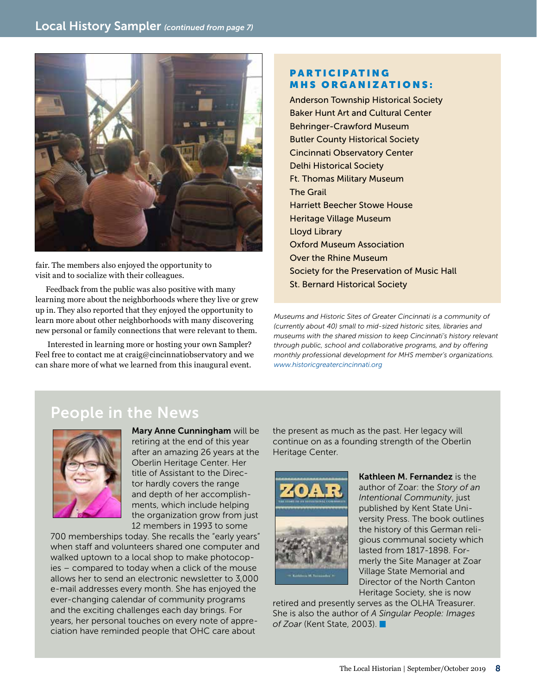

fair. The members also enjoyed the opportunity to visit and to socialize with their colleagues.

Feedback from the public was also positive with many learning more about the neighborhoods where they live or grew up in. They also reported that they enjoyed the opportunity to learn more about other neighborhoods with many discovering new personal or family connections that were relevant to them.

 Interested in learning more or hosting your own Sampler? Feel free to contact me at craig@cincinnatiobservatory and we can share more of what we learned from this inaugural event.

#### **PARTICIPATING** MHS ORGANIZATIONS:

Anderson Township Historical Society Baker Hunt Art and Cultural Center Behringer-Crawford Museum Butler County Historical Society Cincinnati Observatory Center Delhi Historical Society Ft. Thomas Military Museum The Grail Harriett Beecher Stowe House Heritage Village Museum Lloyd Library Oxford Museum Association Over the Rhine Museum Society for the Preservation of Music Hall St. Bernard Historical Society

*Museums and Historic Sites of Greater Cincinnati is a community of (currently about 40) small to mid-sized historic sites, libraries and museums with the shared mission to keep Cincinnati's history relevant through public, school and collaborative programs, and by offering monthly professional development for MHS member's organizations. [www.historicgreatercincinnati.org](http://www.historicgreatercincinnati.org)*

## People in the News



Mary Anne Cunningham will be retiring at the end of this year after an amazing 26 years at the Oberlin Heritage Center. Her title of Assistant to the Director hardly covers the range and depth of her accomplishments, which include helping the organization grow from just 12 members in 1993 to some

700 memberships today. She recalls the "early years" when staff and volunteers shared one computer and walked uptown to a local shop to make photocopies – compared to today when a click of the mouse allows her to send an electronic newsletter to 3,000 e-mail addresses every month. She has enjoyed the ever-changing calendar of community programs and the exciting challenges each day brings. For years, her personal touches on every note of appreciation have reminded people that OHC care about

the present as much as the past. Her legacy will continue on as a founding strength of the Oberlin Heritage Center.



Kathleen M. Fernandez is the author of Zoar: the *Story of an Intentional Community*, just published by Kent State University Press. The book outlines the history of this German religious communal society which lasted from 1817-1898. Formerly the Site Manager at Zoar Village State Memorial and Director of the North Canton Heritage Society, she is now

retired and presently serves as the OLHA Treasurer. She is also the author of *A Singular People: Images of Zoar* (Kent State, 2003).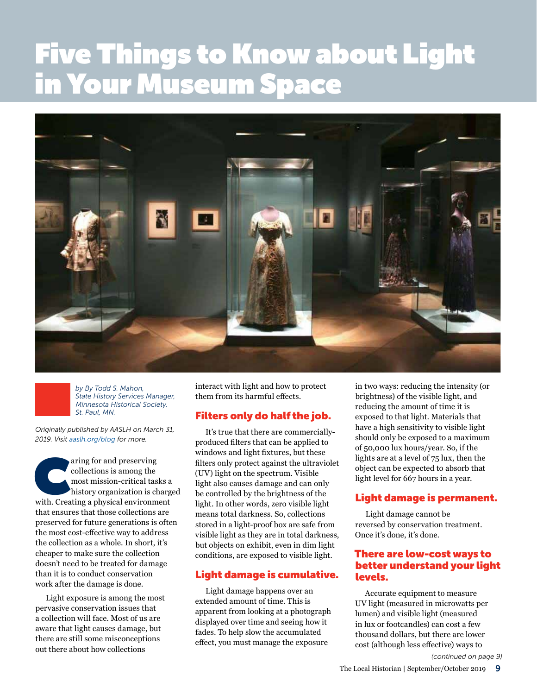## Five Things to Know about Light in Your Museum Space *text block starts here under "continued from" banner*





*Originally published by AASLH on March 31, 2019. Visit [aaslh.org/blog](https://aaslh.org/blog) for more.*

aring for and preserving<br>
collections is among the<br>
most mission-critical tasks a<br>
history organization is charge<br>
with. Creating a physical environment collections is among the most mission-critical tasks a history organization is charged that ensures that those collections are preserved for future generations is often the most cost-effective way to address the collection as a whole. In short, it's cheaper to make sure the collection doesn't need to be treated for damage than it is to conduct conservation work after the damage is done.

Light exposure is among the most pervasive conservation issues that a collection will face. Most of us are aware that light causes damage, but there are still some misconceptions out there about how collections

interact with light and how to protect them from its harmful effects.

#### Filters only do half the job.

It's true that there are commerciallyproduced filters that can be applied to windows and light fixtures, but these filters only protect against the ultraviolet (UV) light on the spectrum. Visible light also causes damage and can only be controlled by the brightness of the light. In other words, zero visible light means total darkness. So, collections stored in a light-proof box are safe from visible light as they are in total darkness, but objects on exhibit, even in dim light conditions, are exposed to visible light.

#### Light damage is cumulative.

Light damage happens over an extended amount of time. This is apparent from looking at a photograph displayed over time and seeing how it fades. To help slow the accumulated effect, you must manage the exposure

in two ways: reducing the intensity (or brightness) of the visible light, and reducing the amount of time it is exposed to that light. Materials that have a high sensitivity to visible light should only be exposed to a maximum of 50,000 lux hours/year. So, if the lights are at a level of 75 lux, then the object can be expected to absorb that light level for 667 hours in a year.

#### Light damage is permanent.

Light damage cannot be reversed by conservation treatment. Once it's done, it's done.

#### There are low-cost ways to better understand your light levels.

Accurate equipment to measure UV light (measured in microwatts per lumen) and visible light (measured in lux or footcandles) can cost a few thousand dollars, but there are lower cost (although less effective) ways to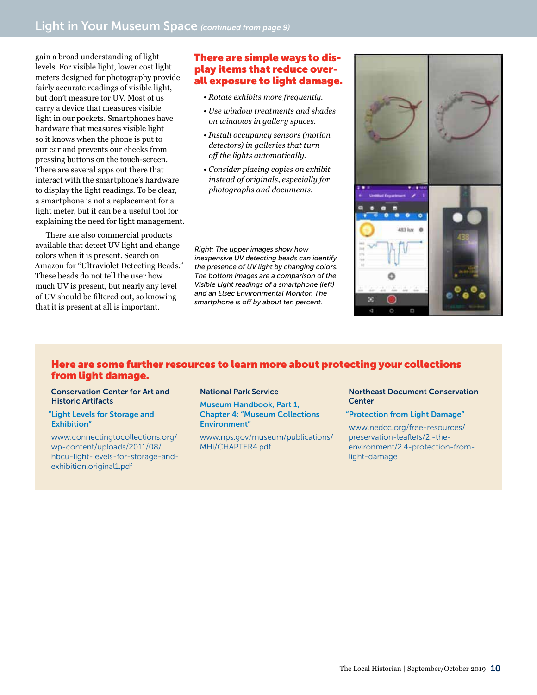gain a broad understanding of light levels. For visible light, lower cost light meters designed for photography provide fairly accurate readings of visible light, but don't measure for UV. Most of us carry a device that measures visible light in our pockets. Smartphones have hardware that measures visible light so it knows when the phone is put to our ear and prevents our cheeks from pressing buttons on the touch-screen. There are several apps out there that interact with the smartphone's hardware to display the light readings. To be clear, a smartphone is not a replacement for a light meter, but it can be a useful tool for explaining the need for light management.

There are also commercial products available that detect UV light and change colors when it is present. Search on Amazon for "Ultraviolet Detecting Beads." These beads do not tell the user how much UV is present, but nearly any level of UV should be filtered out, so knowing that it is present at all is important.

#### There are simple ways to display items that reduce overall exposure to light damage.

- *Rotate exhibits more frequently.*
- *Use window treatments and shades on windows in gallery spaces.*
- *Install occupancy sensors (motion detectors) in galleries that turn off the lights automatically.*
- *Consider placing copies on exhibit instead of originals, especially for photographs and documents.*

*Right: The upper images show how inexpensive UV detecting beads can identify the presence of UV light by changing colors. The bottom images are a comparison of the Visible Light readings of a smartphone (left) and an Elsec Environmental Monitor. The smartphone is off by about ten percent.*



#### Here are some further resources to learn more about protecting your collections from light damage.

Conservation Center for Art and Historic Artifacts

#### "[Light Levels for Storage and](http://www.connectingtocollections.org/wp-content/uploads/2011/08/hbcu-light-levels-for-storage-and-exhibition.original1.pdf)  [Exhibition](http://www.connectingtocollections.org/wp-content/uploads/2011/08/hbcu-light-levels-for-storage-and-exhibition.original1.pdf)"

[www.connectingtocollections.org/](http://www.connectingtocollections.org/wp-content/uploads/2011/08/hbcu-light-levels-for-storage-and-exhibition.original1.pdf) [wp-content/uploads/2011/08/](http://www.connectingtocollections.org/wp-content/uploads/2011/08/hbcu-light-levels-for-storage-and-exhibition.original1.pdf) [hbcu-light-levels-for-storage-and](http://www.connectingtocollections.org/wp-content/uploads/2011/08/hbcu-light-levels-for-storage-and-exhibition.original1.pdf)[exhibition.original1.pdf](http://www.connectingtocollections.org/wp-content/uploads/2011/08/hbcu-light-levels-for-storage-and-exhibition.original1.pdf)

#### National Park Service

[Museum Handbook, Part 1,](https://www.nps.gov/museum/publications/MHi/CHAPTER4.pdf)  [Chapter 4: "Museum Collections](https://www.nps.gov/museum/publications/MHi/CHAPTER4.pdf)  [Environment"](https://www.nps.gov/museum/publications/MHi/CHAPTER4.pdf)

[www.nps.gov/museum/publications/](https://www.nps.gov/museum/publications/MHi/CHAPTER4.pdf) [MHi/CHAPTER4.pdf](https://www.nps.gov/museum/publications/MHi/CHAPTER4.pdf)

#### Northeast Document Conservation **Center**

#### ["Protection from Light Damage"](https://www.nedcc.org/free-resources/preservation-leaflets/2.-the-environment/2.4-protection-from-light-damage)

[www.nedcc.org/free-resources/](https://www.nedcc.org/free-resources/preservation-leaflets/2.-the-environment/2.4-protection-from-light-damage) [preservation-leaflets/2.-the](https://www.nedcc.org/free-resources/preservation-leaflets/2.-the-environment/2.4-protection-from-light-damage)[environment/2.4-protection-from](https://www.nedcc.org/free-resources/preservation-leaflets/2.-the-environment/2.4-protection-from-light-damage)[light-damage](https://www.nedcc.org/free-resources/preservation-leaflets/2.-the-environment/2.4-protection-from-light-damage)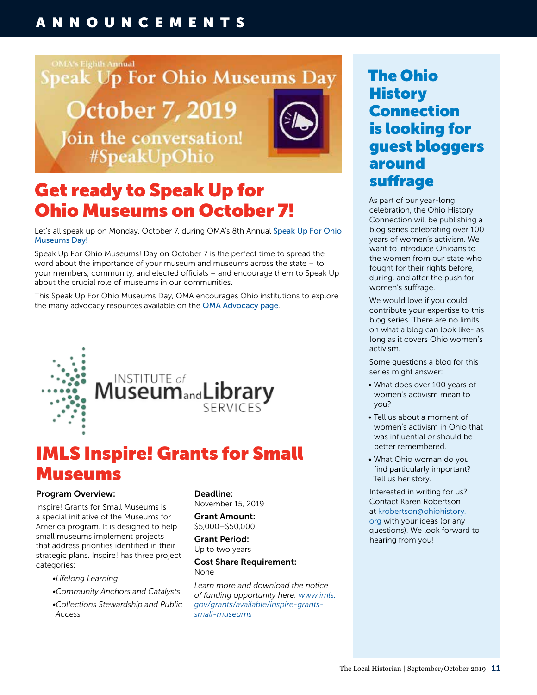## ANNOUNCEMENTS

#### **OMA's Eighth Annual**

**Speak Up For Ohio Museums Day** 

## **October 7, 2019** Join the conversation! #SpeakUpOhio



## Get ready to Speak Up for Ohio Museums on October 7!

Let's all speak up on Monday, October 7, during OMA's 8th Annual Speak Up For Ohio [Museums Day!](http://www.ohiomuseums.org/SharedContent/Events/Copy%202%20of%20Event_Display.aspx?EventKey=d22bff1f-e98b-4c02-86db-9c097954ae71&iSearchResult=true&WebsiteKey=aee7a626-2479-4905-96af-8187825b5c8b )

Speak Up For Ohio Museums! Day on October 7 is the perfect time to spread the word about the importance of your museum and museums across the state – to your members, community, and elected officials – and encourage them to Speak Up about the crucial role of museums in our communities.

This Speak Up For Ohio Museums Day, OMA encourages Ohio institutions to explore the many advocacy resources available on the [OMA Advocacy page](http://www.ohiomuseums.org/Public/About_Us/Advocacy/Public/Advocacy.aspx?hkey=58a55440-e9cc-4079-934f-759bf5d51875 ).





## IMLS Inspire! Grants for Small Museums

#### Program Overview:

Inspire! Grants for Small Museums is a special initiative of the Museums for America program. It is designed to help small museums implement projects that address priorities identified in their strategic plans. Inspire! has three project categories:

- *•Lifelong Learning*
- *•Community Anchors and Catalysts*
- *•Collections Stewardship and Public Access*

Deadline: November 15, 2019

Grant Amount: \$5,000–\$50,000

Grant Period: Up to two years

#### Cost Share Requirement: None

*Learn more and download the notice of funding opportunity here: [www.imls.](https://www.imls.gov/grants/available/inspire-grants-small-museums) [gov/grants/available/inspire-grants](https://www.imls.gov/grants/available/inspire-grants-small-museums)[small-museums](https://www.imls.gov/grants/available/inspire-grants-small-museums)*

## The Ohio **History** Connection is looking for guest bloggers around suffrage

As part of our year-long celebration, the Ohio History Connection will be publishing a blog series celebrating over 100 years of women's activism. We want to introduce Ohioans to the women from our state who fought for their rights before, during, and after the push for women's suffrage.

We would love if you could contribute your expertise to this blog series. There are no limits on what a blog can look like- as long as it covers Ohio women's activism.

Some questions a blog for this series might answer:

- What does over 100 years of women's activism mean to you?
- Tell us about a moment of women's activism in Ohio that was influential or should be better remembered.
- What Ohio woman do you find particularly important? Tell us her story.

Interested in writing for us? Contact Karen Robertson at [krobertson@ohiohistory.](mailto:krobertson@ohiohistory.org) [org](mailto:krobertson@ohiohistory.org) with your ideas (or any questions). We look forward to hearing from you!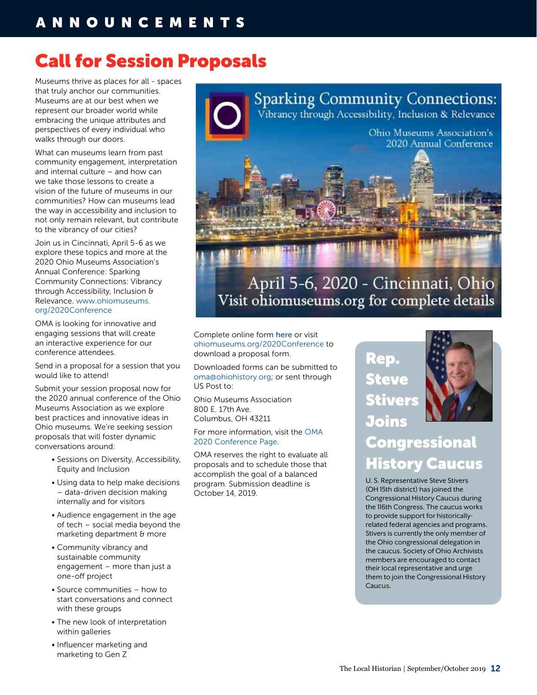## ANNOUNCEMENTS

## Call for Session Proposals

Museums thrive as places for all - spaces that truly anchor our communities. Museums are at our best when we represent our broader world while embracing the unique attributes and perspectives of every individual who walks through our doors.

What can museums learn from past community engagement, interpretation and internal culture – and how can we take those lessons to create a vision of the future of museums in our communities? How can museums lead the way in accessibility and inclusion to not only remain relevant, but contribute to the vibrancy of our cities?

Join us in Cincinnati, April 5-6 as we explore these topics and more at the 2020 Ohio Museums Association's Annual Conference: Sparking Community Connections: Vibrancy through Accessibility, Inclusion & Relevance. [www.ohiomuseums.](https://www.ohiomuseums.org/2020Conference) [org/2020Conference](https://www.ohiomuseums.org/2020Conference)

OMA is looking for innovative and engaging sessions that will create an interactive experience for our conference attendees.

Send in a proposal for a session that you would like to attend!

Submit your session proposal now for the 2020 annual conference of the Ohio Museums Association as we explore best practices and innovative ideas in Ohio museums. We're seeking session proposals that will foster dynamic conversations around:

- Sessions on Diversity, Accessibility, Equity and Inclusion
- Using data to help make decisions – data-driven decision making internally and for visitors
- Audience engagement in the age of tech – social media beyond the marketing department & more
- Community vibrancy and sustainable community engagement – more than just a one-off project
- Source communities how to start conversations and connect with these groups
- The new look of interpretation within galleries
- Influencer marketing and marketing to Gen Z



**Sparking Community Connections:** Vibrancy through Accessibility, Inclusion & Relevance

## April 5-6, 2020 - Cincinnati, Ohio Visit ohiomuseums.org for complete details

Complete online form [here](https://docs.google.com/forms/d/e/1FAIpQLSeK65Y3OXvdF_8FJyBpmBjv4oY7Pv6f61yBEpm5dNh1FO137w/viewform) or visit [ohiomuseums.org/2020Conference](http://ohiomuseums.org/2020Conference) to download a proposal form.

Downloaded forms can be submitted to [oma@ohiohistory.org](mailto:oma@ohiohistory.org); or sent through US Post to:

Ohio Museums Association 800 E. 17th Ave. Columbus, OH 43211

For more information, visit the [OMA](https://www.ohiomuseums.org/2020Conference)  [2020 Conference Page](https://www.ohiomuseums.org/2020Conference).

OMA reserves the right to evaluate all proposals and to schedule those that accomplish the goal of a balanced program. Submission deadline is October 14, 2019.

Rep. **Steve** Stivers Joins



## **Congressional** History Caucus

U. S. Representative Steve Stivers (OH 15th district) has joined the Congressional History Caucus during the 116th Congress. The caucus works to provide support for historicallyrelated federal agencies and programs. Stivers is currently the only member of the Ohio congressional delegation in the caucus. Society of Ohio Archivists members are encouraged to contact their local representative and urge them to join the Congressional History Caucus.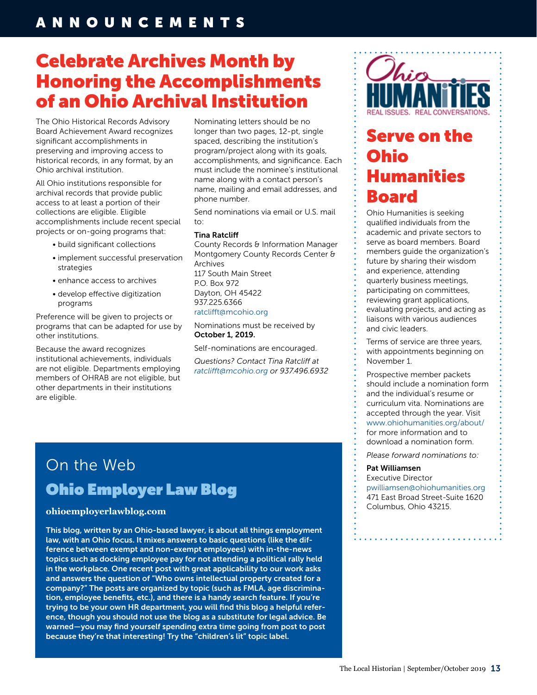## Celebrate Archives Month by Honoring the Accomplishments of an Ohio Archival Institution

The Ohio Historical Records Advisory Board Achievement Award recognizes significant accomplishments in preserving and improving access to historical records, in any format, by an Ohio archival institution.

All Ohio institutions responsible for archival records that provide public access to at least a portion of their collections are eligible. Eligible accomplishments include recent special projects or on-going programs that:

- build significant collections
- implement successful preservation strategies
- enhance access to archives
- develop effective digitization programs

Preference will be given to projects or programs that can be adapted for use by other institutions.

Because the award recognizes institutional achievements, individuals are not eligible. Departments employing members of OHRAB are not eligible, but other departments in their institutions are eligible.

Nominating letters should be no longer than two pages, 12-pt, single spaced, describing the institution's program/project along with its goals, accomplishments, and significance. Each must include the nominee's institutional name along with a contact person's name, mailing and email addresses, and phone number.

Send nominations via email or U.S. mail to:

#### Tina Ratcliff

County Records & Information Manager Montgomery County Records Center & Archives 117 South Main Street P.O. Box 972 Dayton, OH 45422 937.225.6366 [ratclifft@mcohio.org](mailto:ratclifft@mcohio.org)

Nominations must be received by October 1, 2019.

Self-nominations are encouraged.

*Questions? Contact Tina Ratcliff at [ratclifft@mcohio.org](mailto:ratclifft@mcohio.org) or 937.496.6932*



## Serve on the Ohio Humanities Board

Ohio Humanities is seeking qualified individuals from the academic and private sectors to serve as board members. Board members guide the organization's future by sharing their wisdom and experience, attending quarterly business meetings, participating on committees, reviewing grant applications, evaluating projects, and acting as liaisons with various audiences and civic leaders.

Terms of service are three years, with appointments beginning on November 1.

Prospective member packets should include a nomination form and the individual's resume or curriculum vita. Nominations are accepted through the year. Visit [www.ohiohumanities.org/about/](http://www.ohiohumanities.org/about/) for more information and to download a nomination form.

*Please forward nominations to:*

#### Pat Williamsen

- Executive Director
- [pwilliamsen@ohiohumanities.org](mailto:pwilliamsen@ohiohumanities.org)
- 471 East Broad Street-Suite 1620
- Columbus, Ohio 43215.

## On the Web [Ohio Employer Law Blog](https://www.ohioemployerlawblog.com/)

#### **[ohioemployerlawblog.com](https://www.ohioemployerlawblog.com/)**

This blog, written by an Ohio-based lawyer, is about all things employment law, with an Ohio focus. It mixes answers to basic questions (like the difference between exempt and non-exempt employees) with in-the-news topics such as docking employee pay for not attending a political rally held in the workplace. One recent post with great applicability to our work asks and answers the question of "Who owns intellectual property created for a company?" The posts are organized by topic (such as FMLA, age discrimination, employee benefits, etc.), and there is a handy search feature. If you're trying to be your own HR department, you will find this blog a helpful reference, though you should not use the blog as a substitute for legal advice. Be warned—you may find yourself spending extra time going from post to post because they're that interesting! Try the "children's lit" topic label.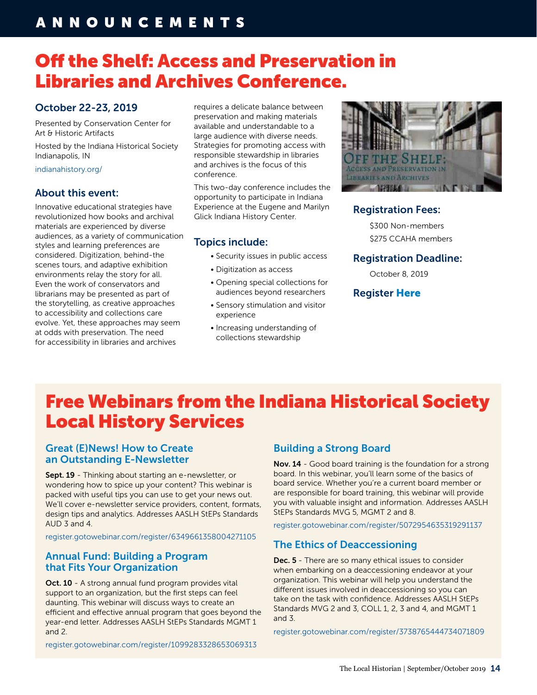## ANNOUNCEMENTS

## Off the Shelf: Access and Preservation in Libraries and Archives Conference.

#### October 22-23, 2019

Presented by Conservation Center for Art & Historic Artifacts

Hosted by the Indiana Historical Society Indianapolis, IN

[indianahistory.org/](https://indianahistory.org/)

#### About this event:

Innovative educational strategies have revolutionized how books and archival materials are experienced by diverse audiences, as a variety of communication styles and learning preferences are considered. Digitization, behind-the scenes tours, and adaptive exhibition environments relay the story for all. Even the work of conservators and librarians may be presented as part of the storytelling, as creative approaches to accessibility and collections care evolve. Yet, these approaches may seem at odds with preservation. The need for accessibility in libraries and archives

requires a delicate balance between preservation and making materials available and understandable to a large audience with diverse needs. Strategies for promoting access with responsible stewardship in libraries and archives is the focus of this conference.

This two-day conference includes the opportunity to participate in Indiana Experience at the Eugene and Marilyn Glick Indiana History Center.

#### Topics include:

- Security issues in public access
- Digitization as access
- Opening special collections for audiences beyond researchers
- Sensory stimulation and visitor experience
- Increasing understanding of collections stewardship



#### Registration Fees:

\$300 Non-members \$275 CCAHA members

#### Registration Deadline:

October 8, 2019

#### Register [Here](https://secure.lglforms.com/form_engine/s/o7eIyn27aGsmm1eEFLwh8A?t=1559161534)

## Free Webinars from the Indiana Historical Society Local History Services

#### [Great \(E\)News! How to Create](https://register.gotowebinar.com/register/6349661358004271105
)  [an Outstanding E-Newsletter](https://register.gotowebinar.com/register/6349661358004271105
)

Sept. 19 - Thinking about starting an e-newsletter, or wondering how to spice up your content? This webinar is packed with useful tips you can use to get your news out. We'll cover e-newsletter service providers, content, formats, design tips and analytics. Addresses AASLH StEPs Standards AUD 3 and 4.

[register.gotowebinar.com/register/6349661358004271105](https://register.gotowebinar.com/register/6349661358004271105)

#### [Annual Fund: Building a Program](https://register.gotowebinar.com/register/1099283328653069313)  [that Fits Your Organization](https://register.gotowebinar.com/register/1099283328653069313)

Oct. 10 - A strong annual fund program provides vital support to an organization, but the first steps can feel daunting. This webinar will discuss ways to create an efficient and effective annual program that goes beyond the year-end letter. Addresses AASLH StEPs Standards MGMT 1 and 2.

[register.gotowebinar.com/register/1099283328653069313](https://register.gotowebinar.com/register/1099283328653069313)

#### [Building a Strong Board](https://register.gotowebinar.com/register/5072954635319291137)

Nov. 14 - Good board training is the foundation for a strong board. In this webinar, you'll learn some of the basics of board service. Whether you're a current board member or are responsible for board training, this webinar will provide you with valuable insight and information. Addresses AASLH StEPs Standards MVG 5, MGMT 2 and 8.

[register.gotowebinar.com/register/5072954635319291137](https://register.gotowebinar.com/register/5072954635319291137)

#### [The Ethics of Deaccessioning](https://register.gotowebinar.com/register/3738765444734071809)

Dec. 5 - There are so many ethical issues to consider when embarking on a deaccessioning endeavor at your organization. This webinar will help you understand the different issues involved in deaccessioning so you can take on the task with confidence. Addresses AASLH StEPs Standards MVG 2 and 3, COLL 1, 2, 3 and 4, and MGMT 1 and 3.

[register.gotowebinar.com/register/3738765444734071809](https://register.gotowebinar.com/register/3738765444734071809)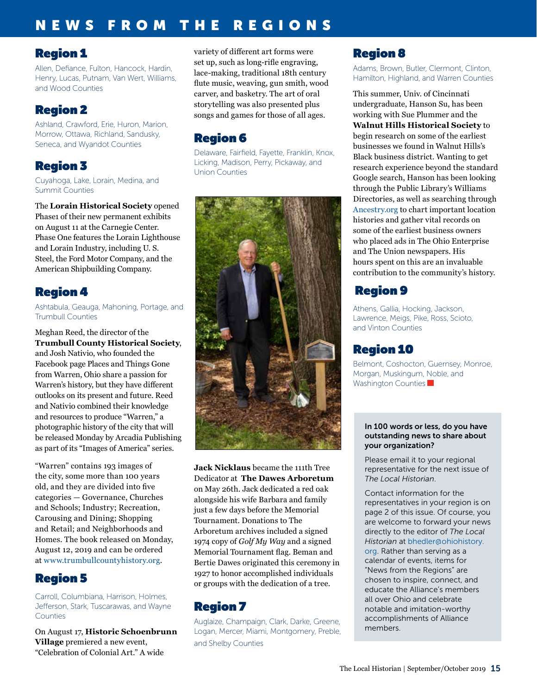## NEWS FROM THE REGIONS

### Region 1

Allen, Defiance, Fulton, Hancock, Hardin, Henry, Lucas, Putnam, Van Wert, Williams, and Wood Counties

### Region 2

Ashland, Crawford, Erie, Huron, Marion, Morrow, Ottawa, Richland, Sandusky, Seneca, and Wyandot Counties

## Region 3

Cuyahoga, Lake, Lorain, Medina, and Summit Counties

The **Lorain Historical Society** opened Phase1 of their new permanent exhibits on August 11 at the Carnegie Center. Phase One features the Lorain Lighthouse and Lorain Industry, including U. S. Steel, the Ford Motor Company, and the American Shipbuilding Company.

## Region 4

Ashtabula, Geauga, Mahoning, Portage, and Trumbull Counties

Meghan Reed, the director of the **Trumbull County Historical Society**, and Josh Nativio, who founded the Facebook page Places and Things Gone from Warren, Ohio share a passion for Warren's history, but they have different outlooks on its present and future. Reed and Nativio combined their knowledge and resources to produce "Warren," a photographic history of the city that will be released Monday by Arcadia Publishing as part of its "Images of America" series.

"Warren" contains 193 images of the city, some more than 100 years old, and they are divided into five categories — Governance, Churches and Schools; Industry; Recreation, Carousing and Dining; Shopping and Retail; and Neighborhoods and Homes. The book released on Monday, August 12, 2019 and can be ordered at [www.trumbullcountyhistory.org.](http://www.trumbullcountyhistory.org)

### Region 5

Carroll, Columbiana, Harrison, Holmes, Jefferson, Stark, Tuscarawas, and Wayne **Counties** 

On August 17, **Historic Schoenbrunn Village** premiered a new event, "Celebration of Colonial Art." A wide

variety of different art forms were set up, such as long-rifle engraving, lace-making, traditional 18th century flute music, weaving, gun smith, wood carver, and basketry. The art of oral storytelling was also presented plus songs and games for those of all ages.

## Region 6

Delaware, Fairfield, Fayette, Franklin, Knox, Licking, Madison, Perry, Pickaway, and Union Counties



**Jack Nicklaus** became the 111th Tree Dedicator at **The Dawes Arboretum** on May 26th. Jack dedicated a red oak alongside his wife Barbara and family just a few days before the Memorial Tournament. Donations to The Arboretum archives included a signed 1974 copy of *Golf My Way* and a signed Memorial Tournament flag. Beman and Bertie Dawes originated this ceremony in 1927 to honor accomplished individuals or groups with the dedication of a tree.

## Region 7

Auglaize, Champaign, Clark, Darke, Greene, Logan, Mercer, Miami, Montgomery, Preble, and Shelby Counties

## Region 8

Adams, Brown, Butler, Clermont, Clinton, Hamilton, Highland, and Warren Counties

This summer, Univ. of Cincinnati undergraduate, Hanson Su, has been working with Sue Plummer and the **Walnut Hills Historical Society** to begin research on some of the earliest businesses we found in Walnut Hills's Black business district. Wanting to get research experience beyond the standard Google search, Hanson has been looking through the Public Library's Williams Directories, as well as searching through [Ancestry.org](http://Ancestry.org) to chart important location histories and gather vital records on some of the earliest business owners who placed ads in The Ohio Enterprise and The Union newspapers. His hours spent on this are an invaluable contribution to the community's history.

## Region 9

Athens, Gallia, Hocking, Jackson, Lawrence, Meigs, Pike, Ross, Scioto, and Vinton Counties

### Region 10

Belmont, Coshocton, Guernsey, Monroe, Morgan, Muskingum, Noble, and Washington Counties

#### In 100 words or less, do you have outstanding news to share about your organization?

Please email it to your regional representative for the next issue of *The Local Historian*.

Contact information for the representatives in your region is on page 2 of this issue. Of course, you are welcome to forward your news directly to the editor of *The Local Historian* at bhedler[@ohiohistory.](mailto:arohmiller%40ohiohistory.org?subject=) [org](mailto:arohmiller%40ohiohistory.org?subject=). Rather than serving as a calendar of events, items for "News from the Regions" are chosen to inspire, connect, and educate the Alliance's members all over Ohio and celebrate notable and imitation-worthy accomplishments of Alliance members.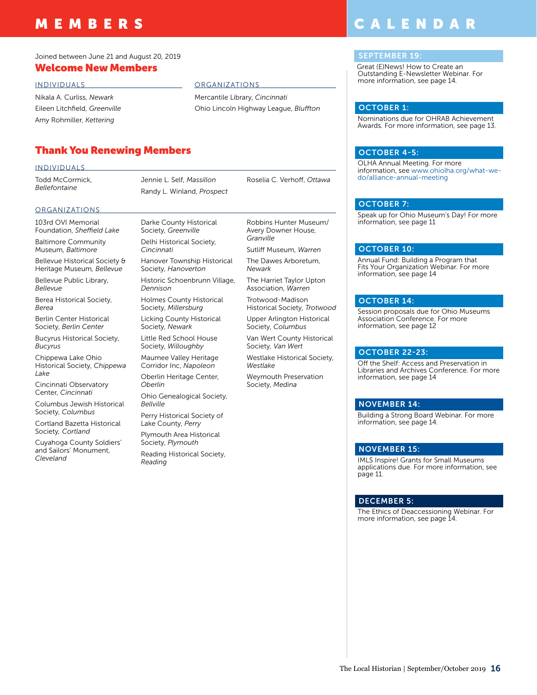## MEMBERS

#### Joined between June 21 and August 20, 2019

#### INDIVIDUALS

Nikala A. Curliss, *Newark* Eileen Litchfield, *Greenville* Amy Rohmiller, *Kettering*

#### ORGANIZATIONS

Mercantile Library, *Cincinnati* Ohio Lincoln Highway League, *Bluffton*

#### Thank You Renewing Members

#### INDIVIDUALS

Todd McCormick, *Bellefontaine*

Jennie L. Self, *Massillon* Randy L. Winland, *Prospect* Roselia C. Verhoff, *Ottawa*

#### **ORGANIZATIONS**

103rd OVI Memorial Foundation, *Sheffield Lake*

Baltimore Community Museum, *Baltimore*

Bellevue Historical Society & Heritage Museum*, Bellevue*

Bellevue Public Library, *Bellevue*

Berea Historical Society, *Berea*

Berlin Center Historical Society, *Berlin Center*

Bucyrus Historical Society, *Bucyrus*

Chippewa Lake Ohio Historical Society, *Chippewa Lake*

Cincinnati Observatory Center, *Cincinnati*

Columbus Jewish Historical Society, *Columbus*

Cortland Bazetta Historical Society*, Cortland*

Cuyahoga County Soldiers' and Sailors' Monument, *Cleveland*

Darke County Historical Society, *Greenville* Delhi Historical Society, *Cincinnati*

Hanover Township Historical Society, *Hanoverton* Historic Schoenbrunn Village,

*Dennison* Holmes County Historical Society, *Millersburg*

Licking County Historical Society, *Newark*

Little Red School House Society, *Willoughby* Maumee Valley Heritage

Corridor Inc, *Napoleon* Oberlin Heritage Center,

*Oberlin* Ohio Genealogical Society,

*Bellville*

Perry Historical Society of Lake County, *Perry*

Plymouth Area Historical Society, *Plymouth*

Reading Historical Society, *Reading*

Robbins Hunter Museum/ Avery Downer House, *Granville*

Sutliff Museum, *Warren*

The Dawes Arboretum, *Newark*

The Harriet Taylor Upton Association, *Warren*

Trotwood-Madison Historical Society, *Trotwood*

Upper Arlington Historical Society, *Columbus*

Van Wert County Historical Society*, Van Wert*

Westlake Historical Society, *Westlake*

Weymouth Preservation Society, *Medina*

information, see page 14.

#### NOVEMBER 15:

IMLS Inspire! Grants for Small Museums applications due. For more information, see page 11.

#### DECEMBER 5:

The Ethics of Deaccessioning Webinar. For more information, see page 14.

## CALENDAR

#### **SEPTEMBER 19**

Great (E)News! How to Create an Outstanding E-Newsletter Webinar. For more information, see page 14. **Welcome New Members text block starts here under the under the under starts here under the under the under the under the under the under the under the under the under the under the under the under the under the under th** 

#### OCTOBER 1:

Nominations due for OHRAB Achievement Awards. For more information, see page 13.

#### OCTOBER 4-5:

OLHA Annual Meeting. For more information, see [www.ohiolha.org/what-we](http://www.ohiolha.org/what-we-do/alliance-annual-meeting)[do/alliance-annual-meeting](http://www.ohiolha.org/what-we-do/alliance-annual-meeting)

#### OCTOBER 7:

Speak up for Ohio Museum's Day! For more information, see page 11

#### OCTOBER 10:

Annual Fund: Building a Program that Fits Your Organization Webinar. For more information, see page 14

#### OCTOBER 14:

Session proposals due for Ohio Museums Association Conference. For more information, see page 12

#### OCTOBER 22-23:

Off the Shelf: Access and Preservation in Libraries and Archives Conference. For more information, see page 14

#### NOVEMBER 14:

Building a Strong Board Webinar. For more